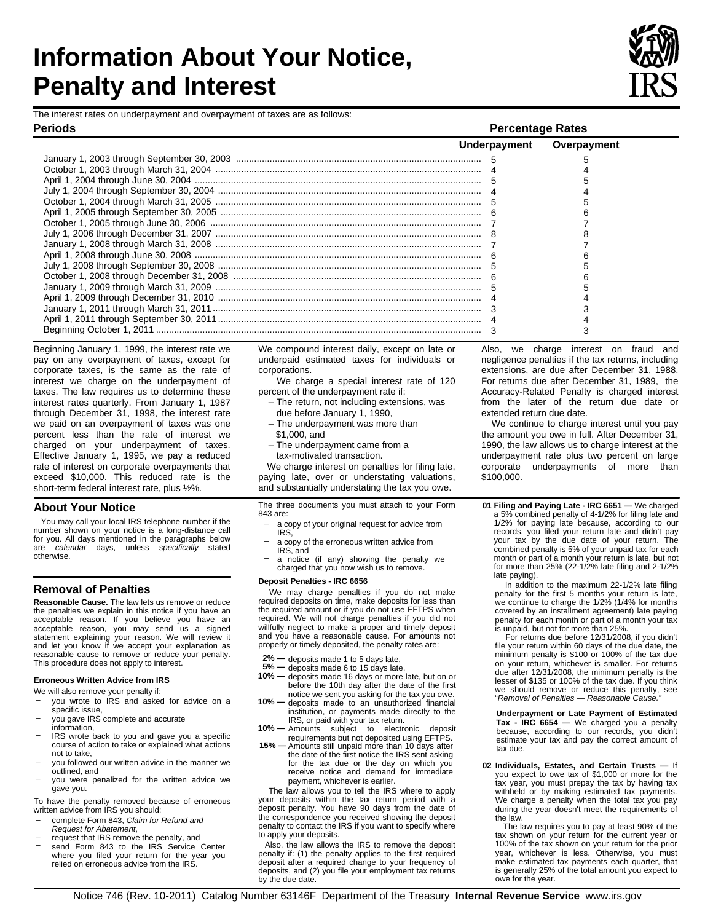# **Information About Your Notice, Penalty and Interest**

The interest rates on underpayment and overpayment of taxes are as follows:

**Periods Percentage Rates** 

January 1, 2003 through September 30, 2003 ............................................................................................... ....................................................................................................... October 1, 2003 through March 31, 2004 4 4 ............................................................................................................... April 1, 2004 through June 30, 2004 5 5 ...................................................................................................... July 1, 2004 through September 30, 2004 4 4 ....................................................................................................... October 1, 2004 through March 31, 2005 5 5 ..................................................................................................... April 1, 2005 through September 30, 2005 6 6 ......................................................................................................... October 1, 2005 through June 30, 2006 7 7 ....................................................................................................... July 1, 2006 through December 31, 2007 8 8 ....................................................................................................... January 1, 2008 through March 31, 2008 7 7 ............................................................................................................... April 1, 2008 through June 30, 2008 6 6 ...................................................................................................... July 1, 2008 through September 30, 2008 5 5 ................................................................................................ October 1, 2008 through December 31, 2008 6 6 ....................................................................................................... January 1, 2009 through March 31, 2009 5 5 ...................................................................................................... April 1, 2009 through December 31, 2010 4 4 ........................................................................................................ January 1, 2011 through March 31, 2011 3 3 ...................................................................................................... April 1, 2011 through September 30, 2011 4 4 .............................................................................................................................. Beginning October 1, 2011 3 3

Beginning January 1, 1999, the interest rate we pay on any overpayment of taxes, except for corporate taxes, is the same as the rate of interest we charge on the underpayment of taxes. The law requires us to determine these interest rates quarterly. From January 1, 1987 through December 31, 1998, the interest rate we paid on an overpayment of taxes was one percent less than the rate of interest we charged on your underpayment of taxes. Effective January 1, 1995, we pay a reduced rate of interest on corporate overpayments that exceed \$10,000. This reduced rate is the short-term federal interest rate, plus ½%.

## **About Your Notice**

 You may call your local IRS telephone number if the number shown on your notice is a long-distance call for you. All days mentioned in the paragraphs below are *calendar* days, unless *specifically* stated otherwise.

### **Removal of Penalties**

**Reasonable Cause.** The law lets us remove or reduce the penalties we explain in this notice if you have an acceptable reason. If you believe you have an acceptable reason, you may send us a signed statement explaining your reason. We will review it and let you know if we accept your explanation as reasonable cause to remove or reduce your penalty. This procedure does not apply to interest.

#### **Erroneous Written Advice from IRS**

- We will also remove your penalty if:
- you wrote to IRS and asked for advice on a specific issue,
- you gave IRS complete and accurate<br>information,
- IRS wrote back to you and gave you a specific course of action to take or explained what actions
- outlined, and<br>- you were penalized for the written advice we not to take,<br>you followed our written advice in the manner we<br>outlined, and
- gave you.

To have the penalty removed because of erroneous written advice from IRS you should:

- –complete Form 843, *Claim for Refund and*
- *Request for Abatement*,
- –request that IRS remove the penalty, and send Form 843 to the IRS Service Center where you filed your return for the year you relied on erroneous advice from the IRS.

We compound interest daily, except on late or underpaid estimated taxes for individuals or corporations.

 We charge a special interest rate of 120 percent of the underpayment rate if:

- The return, not including extensions, was due before January 1, 1990,
- The underpayment was more than
- \$1,000, and
- tax-motivated transaction. – The underpayment came from a

We charge interest on penalties for filing late, paying late, over or understating valuations, and substantially understating the tax you owe.

The three documents you must attach to your Form 843 are:

- IRS,<br>– a copy of the erroneous written advice from –a copy of your original request for advice from
- IRS, and IRS, and<br>– a notice (if any) showing the penalty we
- charged that you now wish us to remove.

#### **Deposit Penalties - IRC 6656**

We may charge penalties if you do not make required deposits on time, make deposits for less than the required amount or if you do not use EFTPS when required. We will not charge penalties if you did not willfully neglect to make a proper and timely deposit and you have a reasonable cause. For amounts not properly or timely deposited, the penalty rates are:

- **2%** deposits made 1 to 5 days late,
- **5%** deposits made 6 to 15 days late,
- **10%** deposits made 16 days or more late, but on or before the 10th day after the date of the first notice we sent you asking for the tax you owe.
- **10%** deposits made to an unauthorized financial institution, or payments made directly to the IRS, or paid with your tax return. **10% —** Amounts subject to electronic deposit
- 
- requirements but not deposited using EFTPS. **15%** Amounts still unpaid more than 10 days after the date of the first notice the IRS sent asking for the tax due or the day on which you receive notice and demand for immediate payment, whichever is earlier.

The law allows you to tell the IRS where to apply<br>your deposits within the tax return period with a The law allows you to tell the IRS where to apply deposit penalty. You have 90 days from the date of the correspondence you received showing the deposit penalty to contact the IRS if you want to specify where to apply your deposits.

 Also, the law allows the IRS to remove the deposit penalty if: (1) the penalty applies to the first required deposit after a required change to your frequency of deposits, and (2) you file your employment tax returns by the due date.

Also, we charge interest on fraud and negligence penalties if the tax returns, including extensions, are due after December 31, 1988. For returns due after December 31, 1989, the Accuracy-Related Penalty is charged interest from the later of the return due date or extended return due date.

 **Overpayment** 

 We continue to charge interest until you pay the amount you owe in full. After December 31, 1990, the law allows us to charge interest at the underpayment rate plus two percent on large corporate underpayments of more than \$100,000.

**01 Filing and Paying Late - IRC 6651 —** We charged a 5% combined penalty of 4-1/2% for filing late and 1/2% for paying late because, according to our records, you filed your return late and didn't pay your tax by the due date of your return. The combined penalty is 5% of your unpaid tax for each month or part of a month your return is late, but not for more than 25% (22-1/2% late filing and 2-1/2% late paying).

 In addition to the maximum 22-1/2% late filing penalty for the first 5 months your return is late, we continue to charge the 1/2% (1/4% for months covered by an installment agreement) late paying penalty for each month or part of a month your tax is unpaid, but not for more than 25%.

For returns due before 12/31/2008, if you didn't<br>file your return within 60 days of the due date, the lesser of \$135 or 100% of the tax due. If you think For returns due before 12/31/2008, if you didn't minimum penalty is \$100 or 100% of the tax due on your return, whichever is smaller. For returns due after 12/31/2008, the minimum penalty is the we should remove or reduce this penalty, see "*Removal of Penalties — Reasonable Cause."* 

**Underpayment or Late Payment of Estimated Tax - IRC 6654 —** We charged you a penalty because, according to our records, you didn't estimate your tax and pay the correct amount of tax due.

 We charge a penalty when the total tax you pay during the year doesn't meet the requirements of 02 Individuals, Estates, and Certain Trusts you expect to owe tax of \$1,000 or more for the tax year, you must prepay the tax by having tax withheld or by making estimated tax payments. the law.

The law requires you to pay at least 90% of the tax shown on your return for the current year or The law requires you to pay at least 90% of the 100% of the tax shown on your return for the prior year, whichever is less. Otherwise, you must make estimated tax payments each quarter, that is generally 25% of the total amount you expect to owe for the year.

5 5

**Underpayment**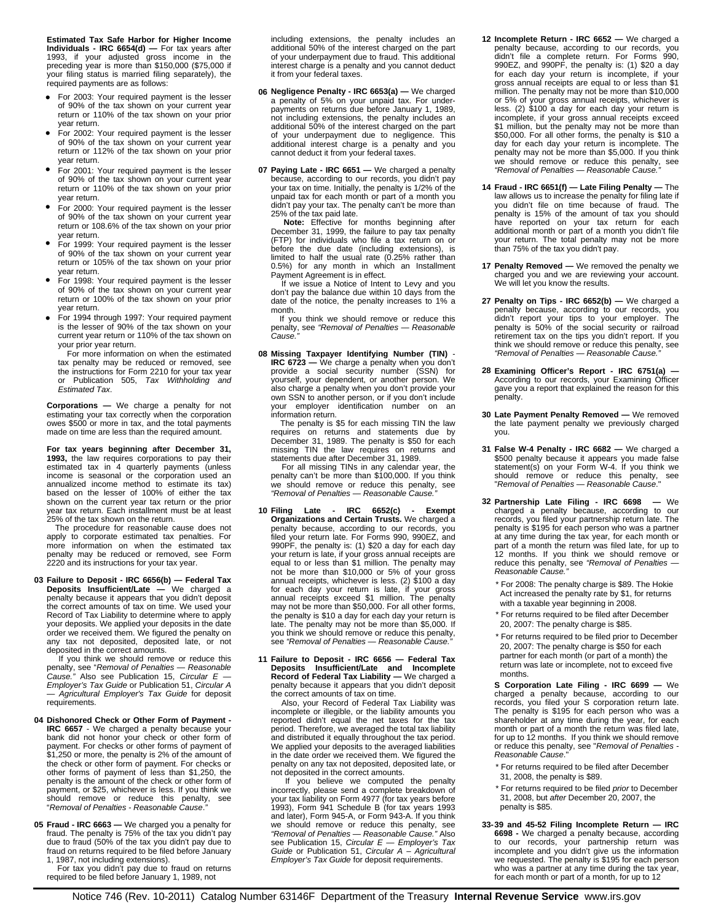**Estimated Tax Safe Harbor for Higher Income Individuals - IRC 6654(d) —** For tax years after 1993, if your adjusted gross income in the preceding year is more than \$150,000 (\$75,000 if your filing status is married filing separately), the required payments are as follows:

- •For 2003: Your required payment is the lesser of 90% of the tax shown on your current year return or 110% of the tax shown on your prior year return.
- •For 2002: Your required payment is the lesser of 90% of the tax shown on your current year return or 112% of the tax shown on your prior year return.
- For 2001: Your required payment is the lesser of 90% of the tax shown on your current year return or 110% of the tax shown on your prior year return.
- •For 2000: Your required payment is the lesser of 90% of the tax shown on your current year return or 108.6% of the tax shown on your prior year return.
- For 1999: Your required payment is the lesser of 90% of the tax shown on your current year return or 105% of the tax shown on your prior year return.
- •For 1998: Your required payment is the lesser of 90% of the tax shown on your current year return or 100% of the tax shown on your prior year return.
- For 1994 through 1997: Your required payment is the lesser of 90% of the tax shown on your current year return or 110% of the tax shown on your prior year return.

For more information on when the estimated<br>tax penalty may be reduced or removed, see For more information on when the estimated the instructions for Form 2210 for your tax year or Publication 505, *Tax Withholding and Estimated Tax*.

**Corporations —** We charge a penalty for not estimating your tax correctly when the corporation owes \$500 or more in tax, and the total payments made on time are less than the required amount.

 income is seasonal or the corporation used an **For tax years beginning after December 31, 1993,** the law requires corporations to pay their estimated tax in 4 quarterly payments (unless annualized income method to estimate its tax) based on the lesser of 100% of either the tax shown on the current year tax return or the prior year tax return. Each installment must be at least 25% of the tax shown on the return.

 The procedure for reasonable cause does not apply to corporate estimated tax penalties. For more information on when the estimated tax penalty may be reduced or removed, see Form 2220 and its instructions for your tax year.

 your deposits. We applied your deposits in the date order we received them. We figured the penalty on **03 Failure to Deposit - IRC 6656(b) — Federal Tax Deposits Insufficient/Late —** We charged a penalty because it appears that you didn't deposit<br>the correct amounts of tax on time. We used your<br>Record of Tax Liability to determine where to apply any tax not deposited, deposited late, or not

deposited in the correct amounts.<br>
If you think we should remove or reduce this<br>
penalty, see *'Removal of Penalties — Reasonable*<br> *Cause."* Also see Publication 15, *Circular E — Employer's Tax Guide* or Publication 51, *Circular A*  — *Agricultural Employer's Tax Guide* for deposit requirements.

- **04 Dishonored Check or Other Form of Payment IRC 6657** - We charged a penalty because your bank did not honor your check or other form of payment. For checks or other forms of payment of \$1,250 or more, the penalty is 2% of the amount of the check or other form of payment. For checks or other forms of payment of less than \$1,250, the penalty is the amount of the check or other form of payment, or \$25, whichever is less. If you think we should remove or reduce this penalty, see "*Removal of Penalties - Reasonable Cause*.*"*
- **05 Fraud IRC 6663 —** We charged you a penalty for fraud. The penalty is 75% of the tax you didn't pay due to fraud (50% of the tax you didn't pay due to fraud on returns required to be filed before January 1, 1987, not including extensions).

For tax you didn't pay due to fraud on returns required to be filed before January 1, 1989, not

including extensions, the penalty includes an additional 50% of the interest charged on the part of your underpayment due to fraud. This additional interest charge is a penalty and you cannot deduct it from your federal taxes.

- **06 Negligence Penalty IRC 6653(a) —** We charged additional interest charge is a penalty and you a penalty of 5% on your unpaid tax. For underpayments on returns due before January 1, 1989, not including extensions, the penalty includes an additional 50% of the interest charged on the part of your underpayment due to negligence. This cannot deduct it from your federal taxes.
- because, according to our records, you didn't pay your tax on time. Initially, the penalty is 1/2% of the didn't pay your tax. The penalty can't be more than **07 Paying Late - IRC 6651 —** We charged a penalty unpaid tax for each month or part of a month you 25% of the tax paid late.

 **Note:** Effective for months beginning after December 31, 1999, the failure to pay tax penalty (FTP) for individuals who file a tax return on or before the due date (including extensions), is limited to half the usual rate (0.25% rather than 0.5%) for any month in which an Installment Payment Agreement is in effect.

 If we issue a Notice of Intent to Levy and you don't pay the balance due within 10 days from the date of the notice, the penalty increases to 1% a month.

 penalty, see *"Removal of Penalties — Reasonable*  If you think we should remove or reduce this *Cause."* 

**08 Missing Taxpayer Identifying Number (TIN) IRC 6723** — We charge a penalty when you don't<br>provide a social security number (SSN) for<br>yourself, your dependent, or another person. We<br>also charge a penalty when you don't provide your<br>own SSN to another person, or if your employer identification number on information return.

 The penalty is \$5 for each missing TIN the law requires on returns and statements due by December 31, 1989. The penalty is \$50 for each missing TIN the law requires on returns and statements due after December 31, 1989.

For all missing TINs in any calendar year, the penalty can't be more than \$100,000. If you think For all missing TINs in any calendar year, the we should remove or reduce this penalty, see *"Removal of Penalties — Reasonable Cause."* 

- **10 Filing Late IRC 6652(c) Exempt Organizations and Certain Trusts.** We charged a penalty because, according to our records, you filed your return late. For Forms 990, 990EZ, and 990PF, the penalty is: (1) \$20 a day for each day your return is late, if your gross annual receipts are equal to or less than \$1 million. The penalty may not be more than \$10,000 or 5% of your gross annual receipts, whichever is less. (2) \$100 a day for each day your return is late, if your gross annual receipts exceed \$1 million. The penalty may not be more than \$50,000. For all other forms, the penalty is \$10 a day for each day your return is late. The penalty may not be more than \$5,000. If you think we should remove or reduce this penalty, see *"Removal of Penalties — Reasonable Cause."*
- **11 Failure to Deposit IRC 6656 Federal Tax Deposits Insufficient/Late and Incomplete Record of Federal Tax Liability —** We charged a penalty because it appears that you didn't deposit the correct amounts of tax on time.

 and distributed it equally throughout the tax period. penalty on any tax not deposited, deposited late, or not deposited in the correct amounts. If you believe we computed the penalty Also, your Record of Federal Tax Liability was incomplete or illegible, or the liability amounts you reported didn't equal the net taxes for the tax period. Therefore, we averaged the total tax liability We applied your deposits to the averaged liabilities in the date order we received them. We figured the

incorrectly, please send a complete breakdown of your tax liability on Form 4977 (for tax years before 1993), Form 941 Schedule B (for tax years 1993 and later), Form 945-A, or Form 943-A. If you think<br>we should remove or reduce this penalty, see<br>"Removal of Penalties — Reasonable Cause." Also<br>see Publication 15, Circular E — Employer's Tax<br>Guide or Publication 51, Circ *Employer's Tax Guide* for deposit requirements.

- **12 Incomplete Return IRC 6652 —** We charged a penalty because, according to our records, you didn't file a complete return. For Forms 990, 990EZ, and 990PF, the penalty is: (1) \$20 a day for each day your return is incomplete, if your gross annual receipts are equal to or less than \$1 million. The penalty may not be more than \$10,000 or 5% of your gross annual receipts, whichever is<br>less. (2) \$100 a day for each day your return is<br>incomplete, if your gross annual receipts exceed<br>\$1 million, but the penalty may not be more than \$50,000. For all other forms, the penalty is \$10 a day for each day your return is incomplete. The penalty may not be more than \$5,000. If you think we should remove or reduce this penalty, see *"Removal of Penalties — Reasonable Cause."*
- **14 Fraud IRC 6651(f) Late Filing Penalty** The law allows us to increase the penalty for filing late if you didn't file on time because of fraud. The penalty is 15% of the amount of tax you should have reported on your tax return for each additional month or part of a month you didn't file your return. The total penalty may not be more than 75% of the tax you didn't pay.
- **17 Penalty Removed —** We removed the penalty we charged you and we are reviewing your account. We will let you know the results.
- **27 Penalty on Tips IRC 6652(b)** We charged a penalty because, according to our records, you didn't report your tips to your employer. The penalty is 50% of the social security or railroad retirement tax on the tips you didn't report. If you think we should remove or reduce this penalty, see *"Removal of Penalties — Reasonable Cause."*
- **28 Examining Officer's Report IRC 6751(a) —** According to our records, your Examining Officer gave you a report that explained the reason for this penalty.
- **30 Late Payment Penalty Removed** We removed the late payment penalty we previously charged you.
- **31 False W-4 Penalty IRC 6682 —** We charged a \$500 penalty because it appears you made false statement(s) on your Form W-4. If you think we should remove or reduce this penalty, see "*Removal of Penalties — Reasonable Cause*."
- at any time during the tax year, for each month or **32 Partnership Late Filing - IRC 6698 —** We charged a penalty because, according to our records, you filed your partnership return late. The penalty is \$195 for each person who was a partner part of a month the return was filed late, for up to 12 months. If you think we should remove or reduce this penalty, see *"Removal of Penalties — Reasonable Cause."* 
	- Act increased the penalty rate by \$1, for returns \* For 2008: The penalty charge is \$89. The Hokie with a taxable year beginning in 2008.
	- \* For returns required to be filed after December 20, 2007: The penalty charge is \$85.
	- \* For returns required to be filed prior to December 20, 2007: The penalty charge is \$50 for each return was late or incomplete, not to exceed five partner for each month (or part of a month) the months.

**S Corporation Late Filing - IRC 6699 —** We charged a penalty because, according to our records, you filed your S corporation return late. The penalty is \$195 for each person who was a shareholder at any time during the year, for each month or part of a month the return was filed late, for up to 12 months. If you think we should remove or reduce this penalty, see "*Removal of Penalties - Reasonable Cause*."

- \* For returns required to be filed after December
- 31, 2008, the penalty is \$89.
- \* For returns required to be filed *prior* to December 31, 2008, but *after* December 20, 2007, the penalty is \$85.
- for each month or part of a month, for up to 12 **33-39 and 45-52 Filing Incomplete Return — IRC 6698 - We charged a penalty because, according to our records, your partnership return was incomplete and you didn't give us the information** we requested. The penalty is \$195 for each person who was a partner at any time during the tax year,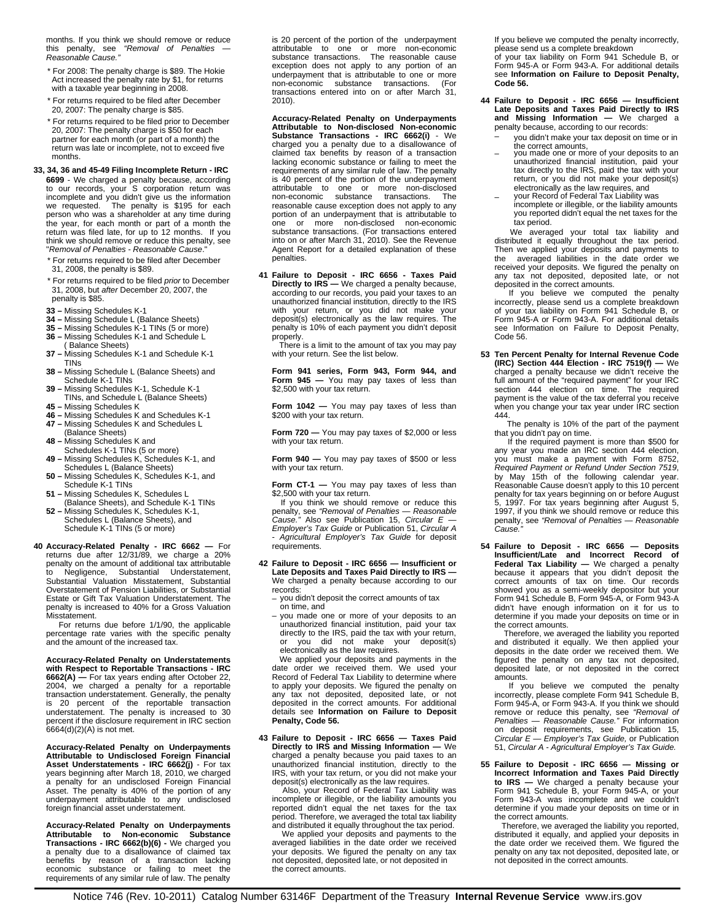months. If you think we should remove or reduce this penalty, see *"Removal of Penalties — Reasonable Cause."* 

- For 2008: The penalty charge is \$89. The Hokie Act increased the penalty rate by \$1, for returns with a taxable year beginning in 2008.
- \* For returns required to be filed after December 20, 2007: The penalty charge is \$85.
- \* For returns required to be filed prior to December 20, 2007: The penalty charge is \$50 for each partner for each month (or part of a month) the return was late or incomplete, not to exceed five months.

 **33, 34, 36 and 45-49 Filing Incomplete Return - IRC 6699** - We charged a penalty because, according to our records, your S corporation return was incomplete and you didn't give us the information we requested. The penalty is \$195 for each person who was a shareholder at any time during the year, for each month or part of a month the return was filed late, for up to 12 months. If you think we should remove or reduce this penalty, see "*Removal of Penalties - Reasonable Cause*."

- \* For returns required to be filed after December 31, 2008, the penalty is \$89.
- \* For returns required to be filed *prior* to December 31, 2008, but *after* December 20, 2007, the penalty is \$85.
- **33 –** Missing Schedules K-1
- **34 –** Missing Schedule L (Balance Sheets)
- **35 –** Missing Schedules K-1 TINs (5 or more)
- **36** Missing Schedules K-1 and Schedule L ( Balance Sheets)
- **37 –** Missing Schedules K-1 and Schedule K-1 TINs
- **38 –** Missing Schedule L (Balance Sheets) and Schedule K-1 TINs
- **39 –** Missing Schedules K-1, Schedule K-1<br>TINs, and Schedule L (Balance Sheets)<br>**45 –** Missing Schedules K<br>**46 –** Missing Schedules K and Schedules K-1
- 
- **47 –** Missing Schedules K and Schedules L
- (Balance Sheets)
- **48 –** Missing Schedules K and
- Schedules K-1 TINs (5 or more) **49 –** Missing Schedules K, Schedules K-1, and
- **50 –** Missing Schedules K, Schedules K-1, and Schedules L (Balance Sheets)
- **51 –** Missing Schedules K, Schedules L Schedule K-1 TINs
- (Balance Sheets), and Schedule K-1 TINs **52 –** Missing Schedules K, Schedules K-1, Schedules L (Balance Sheets), and
- Schedule K-1 TINs (5 or more)
- **40 Accuracy-Related Penalty IRC 6662 For returns due after 12/31/89, we charge a 20% penalty on the amount of additional tax attributable to Negligence, Substantial Understatement,** Substantial Valuation Misstatement, Substantial Overstatement of Pension Liabilities, or Substantial Estate or Gift Tax Valuation Understatement. The penalty is increased to 40% for a Gross Valuation Misstatement.

 For returns due before 1/1/90, the applicable percentage rate varies with the specific penalty and the amount of the increased tax.

**Accuracy-Related Penalty on Understatements**  with Respect to Reportable Transactions - IRC<br>6662(A) — For tax years ending after October 22,<br>2004, we charged a penalty for a reportable<br>transaction understatement. Generally, the penalty is 20 percent of the reportable transaction understatement. The penalty is increased to 30 percent if the disclosure requirement in IRC section 6664(d)(2)(A) is not met.

**Accuracy-Related Penalty on Underpayments Attributable to Undisclosed Foreign Financial Asset Understatements - IRC 6662(j)** - For tax years beginning after March 18, 2010, we charged<br>a penalty for an undisclosed Foreign Financial<br>Asset. The penalty is 40% of the portion of any<br>underpayment attributable to any undisclosed<br>foreign financial asset understat

 economic substance or failing to meet the **Accuracy-Related Penalty on Underpayments Attributable to Non-economic Substance Transactions - IRC 6662(b)(6) -** We charged you a penalty due to a disallowance of claimed tax benefits by reason of a transaction lacking requirements of any similar rule of law. The penalty

is 20 percent of the portion of the underpayment attributable to one or more non-economic<br>substance-transactions. The reasonable cause<br>exception does not apply to any portion of an<br>underpayment that is attributable to one or more<br>non-economic substance transactions. (For transactions entered into on or after March 31, 2010).

 is 40 percent of the portion of the underpayment attributable to one or more non-disclosed non-economic substance transactions. The reasonable cause exception does not apply to any **Accuracy-Related Penalty on Underpayments Attributable to Non-disclosed Non-economic Substance Transactions - IRC 6662(i)** - We charged you a penalty due to a disallowance of claimed tax benefits by reason of a transaction lacking economic substance or failing to meet the requirements of any similar rule of law. The penalty portion of an underpayment that is attributable to one or more non-disclosed non-economic substance transactions. (For transactions entered into on or after March 31, 2010). See the Revenue Agent Report for a detailed explanation of these penalties.

**41 Failure to Deposit - IRC 6656 - Taxes Paid Directly to IRS — We charged a penalty because, according to our records, you paid your taxes to an unauthorized financial institution, directly to the IRS** with your return, or you did not make your deposit(s) electronically as the law requires. The penalty is 10% of each payment you didn't deposit properly.

There is a limit to the amount of tax you may pay with your return. See the list below.

**Form 941 series, Form 943, Form 944, and Form 945 —** You may pay taxes of less than \$2,500 with your tax return.

**Form 1042 —** You may pay taxes of less than \$200 with your tax return.

**Form 720 —** You may pay taxes of \$2,000 or less with your tax return.

**Form 940 —** You may pay taxes of \$500 or less with your tax return.

**Form CT-1 —** You may pay taxes of less than \$2,500 with your tax return.

If you think we should remove or reduce this penalty, see *"Removal of Penalties — Reasonable Cause."* Also see Publication 15, *Circular E — Employer's Tax Guide* or Publication 51, *Circular A*  - *Agricultural Employer's Tax Guide* for deposit requirements.

- **42Failure to Deposit IRC 6656 Insufficient or Late Deposits and Taxes Paid Directly to IRS —**  We charged a penalty because according to our records:
	- you didn't deposit the correct amounts of tax on time, and
	- you made one or more of your deposits to an unauthorized financial institution, paid your tax directly to the IRS, paid the tax with your return, or you did not make your deposit(s) electronically as the law requires.

We applied your deposits and payments in the<br>date order we received them. We used your<br>Record of Federal Tax Liability to determine where<br>to apply your deposits. We figured the penalty on<br>any tax not deposited, deposited l details see **Information on Failure to Deposit Penalty, Code 56.** 

## **Directly to IRS and Missing Information —** We charged a penalty because you paid taxes to an **43 Failure to Deposit - IRC 6656 — Taxes Paid**  unauthorized financial institution, directly to the IRS, with your tax return, or you did not make your

deposit(s) electronically as the law requires. Also, your Record of Federal Tax Liability was incomplete or illegible, or the liability amounts you reported didn't equal the net taxes for the tax period. Therefore, we averaged the total tax liability and distributed it equally throughout the tax period.

 We applied your deposits and payments to the averaged liabilities in the date order we received your deposits. We figured the penalty on any tax not deposited, deposited late, or not deposited in the correct amounts.

If you believe we computed the penalty incorrectly, please send us a complete breakdown

of your tax liability on Form 941 Schedule B, or Form 945-A or Form 943-A. For additional details see **Information on Failure to Deposit Penalty,** 

- **Code 56.44Failure to Deposit IRC 6656 Insufficient Late Deposits and Taxes Paid Directly to IRS and Missing Information —** We charged a penalty because, according to our records:
	- you didn't make your tax deposit on time or in
	- x with<br>depo: the correct amounts, –you made one or more of your deposits to an unauthorized financial institution, paid your tax directly to the IRS, paid the tax with your return, or you did not make your deposit(s) electronically as the law requires, and
	- your Record of Federal Tax Liability was incomplete or illegible, or the liability amounts you reported didn't equal the net taxes for the tax period.

 received your deposits. We figured the penalty on We averaged your total tax liability and distributed it equally throughout the tax period. Then we applied your deposits and payments to the averaged liabilities in the date order we any tax not deposited, deposited late, or not

deposited in the correct amounts. If you believe we computed the penalty incorrectly, please send us a complete breakdown of your tax liability on Form 941 Schedule B, or Form 945-A or Form 943-A. For additional details see Information on Failure to Deposit Penalty, Code 56.

full amount of the "required payment" for your IRC<br>section 444 election on time. The required<br>payment is the value of the tax deferral you receive<br>when you change your tax year under IRC section **53 Ten Percent Penalty for Internal Revenue Code (IRC) Section 444 Election - IRC 7519(f) —** We charged a penalty because we didn't receive the 444.

The penalty is 10% of<br>.that you didn't pay on time The penalty is 10% of the part of the payment

If the required payment is more than \$500 for<br>any year you made an IRC section 444 election,<br>you must make a payment with Form 8752,<br>*Required Payment or Refund Under Section 7519*, by May 15th of the following calendar year. Reasonable Cause doesn't apply to this 10 percent penalty for tax years beginning on or before August 5, 1997. For tax years beginning after August 5, 1997, if you think we should remove or reduce this penalty, see *"Removal of Penalties — Reasonable Cause."* 

 didn't have enough information on it for us to 54 Failure to Deposit - IRC 6656 — Deposits<br>Insufficient/Late and Incorrect Record of<br>Federal Tax Liability — We charged a penalty<br>because it appears that you didn't deposit the<br>correct amounts of tax on time. Our records showed you as a semi-weekly depositor but your Form 941 Schedule B, Form 945-A, or Form 943-A determine if you made your deposits on time or in the correct amounts.

Therefore, we averaged the liability you reported<br>and distributed it equally. We then applied your Therefore, we averaged the liability you reported deposits in the date order we received them. We figured the penalty on any tax not deposited, deposited late, or not deposited in the correct amounts.

 If you believe we computed the penalty incorrectly, please complete Form 941 Schedule B, Form 945-A, or Form 943-A. If you think we should remove or reduce this penalty, see *"Removal of Penalties — Reasonable Cause."* For information on deposit requirements, see Publication 15, *Circular E — Employer's Tax Guide,* or Publication 51, *Circular A - Agricultural Employer's Tax Guide.* 

**55 Failure to Deposit - IRC 6656 — Missing or Incorrect Information and Taxes Paid Directly to IRS —** We charged a penalty because your Form 941 Schedule B, your Form 945-A, or your Form 943-A was incomplete and we couldn't determine if you made your deposits on time or in the correct amounts.

 Therefore, we averaged the liability you reported, distributed it equally, and applied your deposits in the date order we received them. We figured the penalty on any tax not deposited, deposited late, or not deposited in the correct amounts.